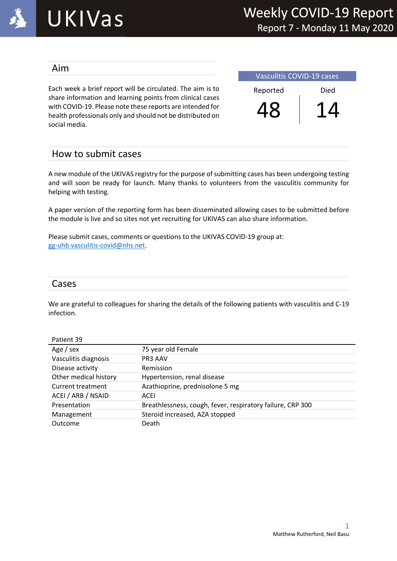

#### Aim

Each week a brief report will be circulated. The aim is to share information and learning points from clinical cases with COVID-19. Please note these reports are intended for health professionals only and should not be distributed on social media.

Vasculitis COVID-19 cases Reported Died 48 14

### How to submit cases

A new module of the UKIVAS registry for the purpose of submitting cases has been undergoing testing and will soon be ready for launch. Many thanks to volunteers from the vasculitis community for helping with testing.

A paper version of the reporting form has been disseminated allowing cases to be submitted before the module is live and so sites not yet recruiting for UKIVAS can also share information.

Please submit cases, comments or questions to the UKIVAS COVID-19 group at: gg-uhb.vasculitis-covid@nhs.net.

#### Cases

We are grateful to colleagues for sharing the details of the following patients with vasculitis and C-19 infection.

| Patient 39            |                                                            |
|-----------------------|------------------------------------------------------------|
| Age / sex             | 75 year old Female                                         |
| Vasculitis diagnosis  | PR3 AAV                                                    |
| Disease activity      | Remission                                                  |
| Other medical history | Hypertension, renal disease                                |
| Current treatment     | Azathioprine, prednisolone 5 mg                            |
| ACEI / ARB / NSAID    | ACEI                                                       |
| Presentation          | Breathlessness, cough, fever, respiratory failure, CRP 300 |
| Management            | Steroid increased, AZA stopped                             |
| Outcome               | Death                                                      |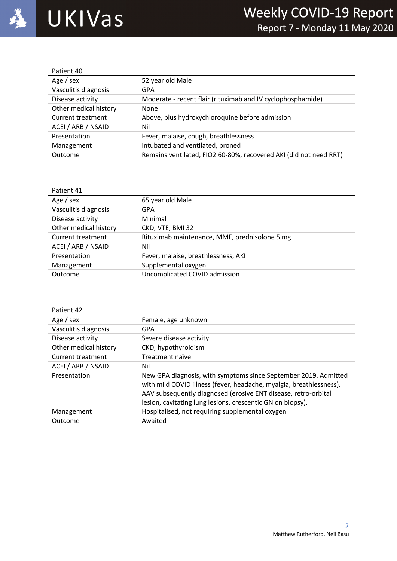

| Patient 40            |                                                                   |
|-----------------------|-------------------------------------------------------------------|
| Age / sex             | 52 year old Male                                                  |
| Vasculitis diagnosis  | GPA                                                               |
| Disease activity      | Moderate - recent flair (rituximab and IV cyclophosphamide)       |
| Other medical history | None                                                              |
| Current treatment     | Above, plus hydroxychloroquine before admission                   |
| ACEI / ARB / NSAID    | Nil                                                               |
| Presentation          | Fever, malaise, cough, breathlessness                             |
| Management            | Intubated and ventilated, proned                                  |
| Outcome               | Remains ventilated, FIO2 60-80%, recovered AKI (did not need RRT) |

| Patient 41            |                                               |
|-----------------------|-----------------------------------------------|
| Age / sex             | 65 year old Male                              |
| Vasculitis diagnosis  | GPA                                           |
| Disease activity      | Minimal                                       |
| Other medical history | CKD, VTE, BMI 32                              |
| Current treatment     | Rituximab maintenance, MMF, prednisolone 5 mg |
| ACEI / ARB / NSAID    | Nil                                           |
| Presentation          | Fever, malaise, breathlessness, AKI           |
| Management            | Supplemental oxygen                           |
| Outcome               | Uncomplicated COVID admission                 |
|                       |                                               |

| Patient 42            |                                                                                                                                                                                                                                                                        |
|-----------------------|------------------------------------------------------------------------------------------------------------------------------------------------------------------------------------------------------------------------------------------------------------------------|
| Age / sex             | Female, age unknown                                                                                                                                                                                                                                                    |
| Vasculitis diagnosis  | GPA                                                                                                                                                                                                                                                                    |
| Disease activity      | Severe disease activity                                                                                                                                                                                                                                                |
| Other medical history | CKD, hypothyroidism                                                                                                                                                                                                                                                    |
| Current treatment     | Treatment naïve                                                                                                                                                                                                                                                        |
| ACEI / ARB / NSAID    | Nil                                                                                                                                                                                                                                                                    |
| Presentation          | New GPA diagnosis, with symptoms since September 2019. Admitted<br>with mild COVID illness (fever, headache, myalgia, breathlessness).<br>AAV subsequently diagnosed (erosive ENT disease, retro-orbital<br>lesion, cavitating lung lesions, crescentic GN on biopsy). |
| Management            | Hospitalised, not requiring supplemental oxygen                                                                                                                                                                                                                        |
| Outcome               | Awaited                                                                                                                                                                                                                                                                |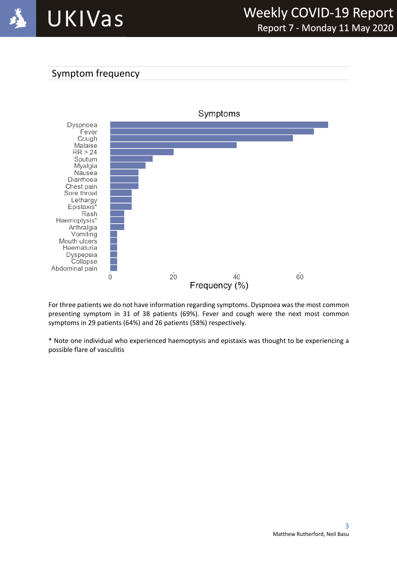

# Symptom frequency



For three patients we do not have information regarding symptoms. Dyspnoea was the most common presenting symptom in 31 of 38 patients (69%). Fever and cough were the next most common symptoms in 29 patients (64%) and 26 patients (58%) respectively.

\* Note one individual who experienced haemoptysis and epistaxis was thought to be experiencing a possible flare of vasculitis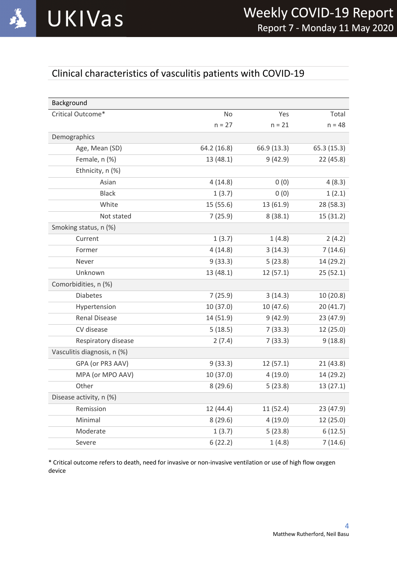

# Clinical characteristics of vasculitis patients with COVID-19

| Background                  |             |             |            |
|-----------------------------|-------------|-------------|------------|
| Critical Outcome*           | No          | Yes         | Total      |
|                             | $n = 27$    | $n = 21$    | $n = 48$   |
| Demographics                |             |             |            |
| Age, Mean (SD)              | 64.2 (16.8) | 66.9 (13.3) | 65.3(15.3) |
| Female, n (%)               | 13 (48.1)   | 9(42.9)     | 22(45.8)   |
| Ethnicity, n (%)            |             |             |            |
| Asian                       | 4(14.8)     | 0(0)        | 4(8.3)     |
| <b>Black</b>                | 1(3.7)      | 0(0)        | 1(2.1)     |
| White                       | 15 (55.6)   | 13 (61.9)   | 28 (58.3)  |
| Not stated                  | 7(25.9)     | 8(38.1)     | 15(31.2)   |
| Smoking status, n (%)       |             |             |            |
| Current                     | 1(3.7)      | 1(4.8)      | 2(4.2)     |
| Former                      | 4(14.8)     | 3(14.3)     | 7(14.6)    |
| Never                       | 9(33.3)     | 5(23.8)     | 14 (29.2)  |
| Unknown                     | 13(48.1)    | 12(57.1)    | 25(52.1)   |
| Comorbidities, n (%)        |             |             |            |
| <b>Diabetes</b>             | 7(25.9)     | 3(14.3)     | 10(20.8)   |
| Hypertension                | 10(37.0)    | 10 (47.6)   | 20(41.7)   |
| <b>Renal Disease</b>        | 14 (51.9)   | 9(42.9)     | 23 (47.9)  |
| CV disease                  | 5(18.5)     | 7(33.3)     | 12 (25.0)  |
| Respiratory disease         | 2(7.4)      | 7(33.3)     | 9(18.8)    |
| Vasculitis diagnosis, n (%) |             |             |            |
| GPA (or PR3 AAV)            | 9(33.3)     | 12(57.1)    | 21(43.8)   |
| MPA (or MPO AAV)            | 10 (37.0)   | 4(19.0)     | 14 (29.2)  |
| Other                       | 8(29.6)     | 5(23.8)     | 13(27.1)   |
| Disease activity, n (%)     |             |             |            |
| Remission                   | 12(44.4)    | 11 (52.4)   | 23 (47.9)  |
| Minimal                     | 8(29.6)     | 4(19.0)     | 12 (25.0)  |
| Moderate                    | 1(3.7)      | 5(23.8)     | 6(12.5)    |
| Severe                      | 6(22.2)     | 1(4.8)      | 7(14.6)    |

\* Critical outcome refers to death, need for invasive or non-invasive ventilation or use of high flow oxygen device